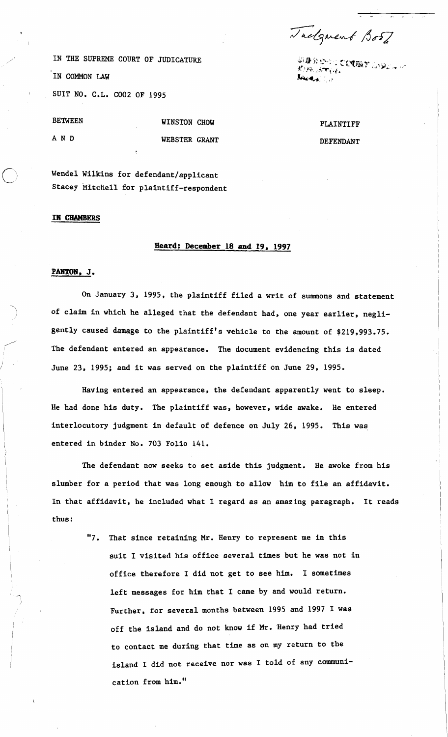Tackgrent Bost

-<br>約束ののかに**ごいの**<br>約束の約束 **Journal** 

IN THE SUPREME COURT OF JUDICATURE IN COMMON LAW , SUIT NO. C.L. COO2 OF 1995

| <b>BETWEEN</b> | WINSTON CHOW  |  |
|----------------|---------------|--|
| A N D          | WEBSTER GRANT |  |

Stacey Mitchell for plaintiff-respondent

Wendel Wilkins for defendant/applicant

#### **IN CHAMBERS**

**9**  I

# **Heard: December 18 and 19, 1997**

### PANTON, J.

On January 3, 1995, the plaintiff filed a writ of summons and statement of claim in which he alleged that the defendant had, one year earlier, negligently caused damage to the plaintiff's vehicle to the amount of \$219,993.75. The defendant entered an appearance. The document evidencing this is dated June 23, 1995; and it was served on the plaintiff on June 29, 1995.

Having entered an appearance, the defendant apparently went to sleep. He had done his duty. The plaintiff was, however, wide awake. He entered interlocutory judgment in default of defence on July 26, 1995. This was entered in binder No. 703 Folio 141.

The defendant now seeks to set aside this judgment. He awoke from his slumber for a period that was long enough to allow him to file an affidavit. In that affidavit, he included what I regard as an amazing paragraph. It reads thus :

> "7. That since retaining Mr. Henry to represent me in this suit I visited his office several times but he was not in office therefore I did not get to see him. I sometimes left messages for him that I came by and would return. Further, for several months between 1995 and 1997 I was off the island and do not know if Mr. Henry had tried to contact me during that time as on my return to the island I did not receive nor was I told of any communication from him."

## PLAINTIFF

### DEFENDANT